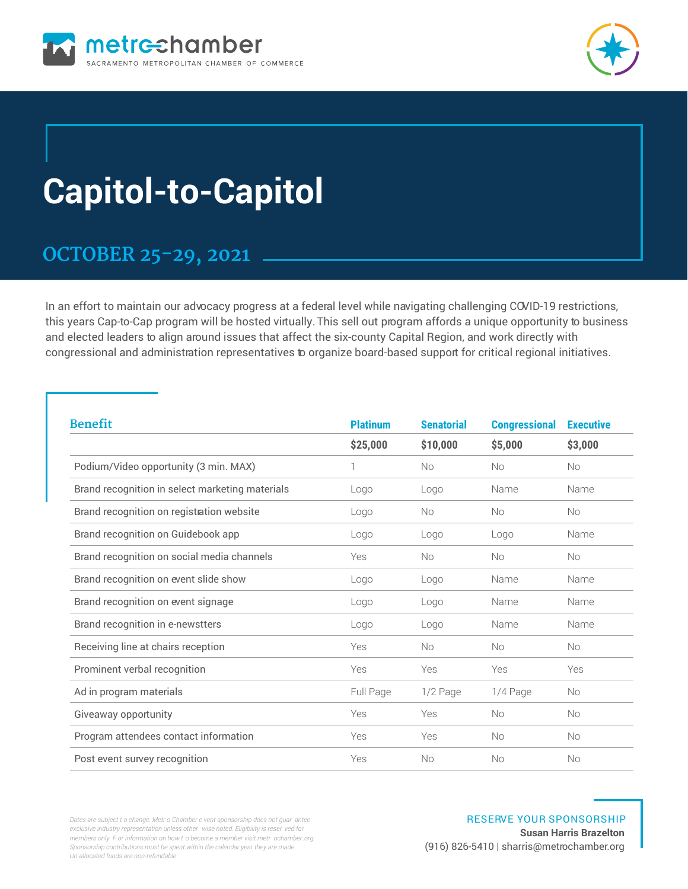



# **Capitol-to-Capitol**

### **OCTOBER 25-29, 2021**

In an effort to maintain our advocacy progress at a federal level while navigating challenging COVID-19 restrictions, this years Cap-to-Cap program will be hosted virtually. This sell out program affords a unique opportunity to business and elected leaders to align around issues that affect the six-county Capital Region, and work directly with congressional and administration representatives to organize board-based support for critical regional initiatives.

| <b>Benefit</b>                                  | <b>Platinum</b> | <b>Senatorial</b> | <b>Congressional</b> | <b>Executive</b> |
|-------------------------------------------------|-----------------|-------------------|----------------------|------------------|
|                                                 | \$25,000        | \$10,000          | \$5,000              | \$3,000          |
| Podium/Video opportunity (3 min. MAX)           | 1               | <b>No</b>         | <b>No</b>            | <b>No</b>        |
| Brand recognition in select marketing materials | Logo            | Logo              | Name                 | Name             |
| Brand recognition on registration website       | Logo            | <b>No</b>         | <b>No</b>            | <b>No</b>        |
| Brand recognition on Guidebook app              | Logo            | Logo              | Logo                 | Name             |
| Brand recognition on social media channels      | Yes             | <b>No</b>         | <b>No</b>            | <b>No</b>        |
| Brand recognition on event slide show           | Logo            | Logo              | Name                 | Name             |
| Brand recognition on event signage              | Logo            | Logo              | Name                 | Name             |
| Brand recognition in e-newstters                | Logo            | Logo              | Name                 | Name             |
| Receiving line at chairs reception              | Yes             | <b>No</b>         | <b>No</b>            | <b>No</b>        |
| Prominent verbal recognition                    | Yes             | Yes               | Yes                  | Yes              |
| Ad in program materials                         | Full Page       | 1/2 Page          | 1/4 Page             | <b>No</b>        |
| Giveaway opportunity                            | Yes             | Yes               | <b>No</b>            | No               |
| Program attendees contact information           | Yes             | Yes               | <b>No</b>            | <b>No</b>        |
| Post event survey recognition                   | Yes             | No                | <b>No</b>            | <b>No</b>        |

*Dates are subject t o change. Metr o Chamber e vent sponsorship does not guar antee exclusive industry representation unless other wise noted. Eligibility is reser ved for members only. F or information on how t o become a member visit metr ochamber.org. Sponsorship contributions must be spent within the calendar year they are made. Un-allocated funds are non-refundable.*